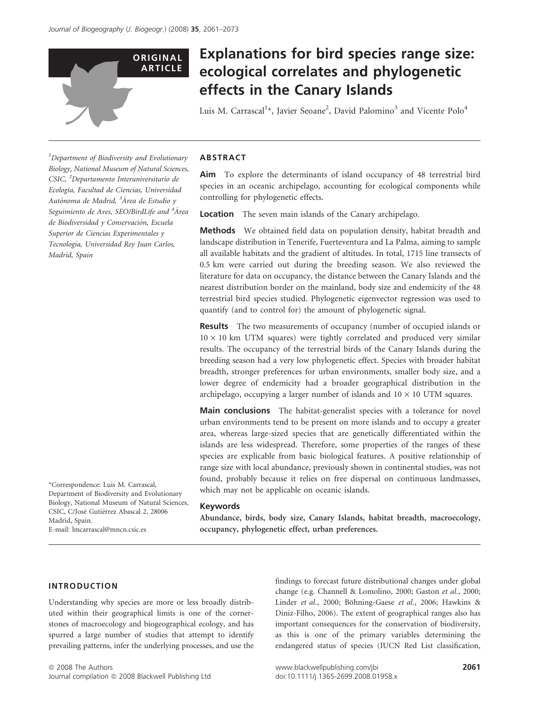

# Explanations for bird species range size: ecological correlates and phylogenetic effects in the Canary Islands

Luis M. Carrascal<sup>1\*</sup>, Javier Seoane<sup>2</sup>, David Palomino<sup>3</sup> and Vicente Polo<sup>4</sup>

<sup>1</sup>Department of Biodiversity and Evolutionary Biology, National Museum of Natural Sciences, CSIC, <sup>2</sup>Departamento Interuniversitario de Ecología, Facultad de Ciencias, Universidad Autónoma de Madrid, <sup>3</sup>Área de Estudio y Seguimiento de Aves, SEO/BirdLife and <sup>4</sup>Área de Biodiversidad y Conservación, Escuela Superior de Ciencias Experimentales y Tecnología, Universidad Rey Juan Carlos, Madrid, Spain

\*Correspondence: Luis M. Carrascal, Department of Biodiversity and Evolutionary Biology, National Museum of Natural Sciences, CSIC, C/José Gutiérrez Abascal 2, 28006 Madrid, Spain. E-mail: lmcarrascal@mncn.csic.es

## ABSTRACT

Aim To explore the determinants of island occupancy of 48 terrestrial bird species in an oceanic archipelago, accounting for ecological components while controlling for phylogenetic effects.

Location The seven main islands of the Canary archipelago.

Methods We obtained field data on population density, habitat breadth and landscape distribution in Tenerife, Fuerteventura and La Palma, aiming to sample all available habitats and the gradient of altitudes. In total, 1715 line transects of 0.5 km were carried out during the breeding season. We also reviewed the literature for data on occupancy, the distance between the Canary Islands and the nearest distribution border on the mainland, body size and endemicity of the 48 terrestrial bird species studied. Phylogenetic eigenvector regression was used to quantify (and to control for) the amount of phylogenetic signal.

Results The two measurements of occupancy (number of occupied islands or  $10 \times 10$  km UTM squares) were tightly correlated and produced very similar results. The occupancy of the terrestrial birds of the Canary Islands during the breeding season had a very low phylogenetic effect. Species with broader habitat breadth, stronger preferences for urban environments, smaller body size, and a lower degree of endemicity had a broader geographical distribution in the archipelago, occupying a larger number of islands and  $10 \times 10$  UTM squares.

Main conclusions The habitat-generalist species with a tolerance for novel urban environments tend to be present on more islands and to occupy a greater area, whereas large-sized species that are genetically differentiated within the islands are less widespread. Therefore, some properties of the ranges of these species are explicable from basic biological features. A positive relationship of range size with local abundance, previously shown in continental studies, was not found, probably because it relies on free dispersal on continuous landmasses, which may not be applicable on oceanic islands.

## Keywords

Abundance, birds, body size, Canary Islands, habitat breadth, macroecology, occupancy, phylogenetic effect, urban preferences.

## INTRODUCTION

Understanding why species are more or less broadly distributed within their geographical limits is one of the cornerstones of macroecology and biogeographical ecology, and has spurred a large number of studies that attempt to identify prevailing patterns, infer the underlying processes, and use the

findings to forecast future distributional changes under global change (e.g. Channell & Lomolino, 2000; Gaston et al., 2000; Linder et al., 2000; Böhning-Gaese et al., 2006; Hawkins & Diniz-Filho, 2006). The extent of geographical ranges also has important consequences for the conservation of biodiversity, as this is one of the primary variables determining the endangered status of species (IUCN Red List classification,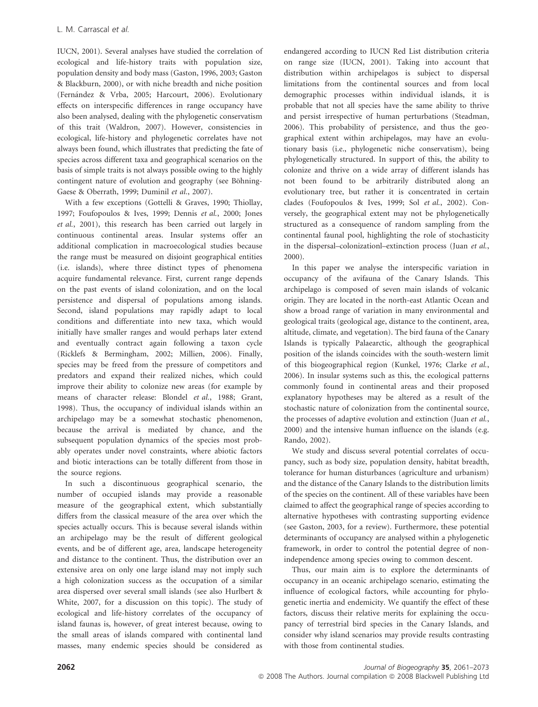IUCN, 2001). Several analyses have studied the correlation of ecological and life-history traits with population size, population density and body mass (Gaston, 1996, 2003; Gaston & Blackburn, 2000), or with niche breadth and niche position (Fernández & Vrba, 2005; Harcourt, 2006). Evolutionary effects on interspecific differences in range occupancy have also been analysed, dealing with the phylogenetic conservatism of this trait (Waldron, 2007). However, consistencies in ecological, life-history and phylogenetic correlates have not always been found, which illustrates that predicting the fate of species across different taxa and geographical scenarios on the basis of simple traits is not always possible owing to the highly contingent nature of evolution and geography (see Böhning-Gaese & Oberrath, 1999; Duminil et al., 2007).

With a few exceptions (Gottelli & Graves, 1990; Thiollay, 1997; Foufopoulos & Ives, 1999; Dennis et al., 2000; Jones et al., 2001), this research has been carried out largely in continuous continental areas. Insular systems offer an additional complication in macroecological studies because the range must be measured on disjoint geographical entities (i.e. islands), where three distinct types of phenomena acquire fundamental relevance. First, current range depends on the past events of island colonization, and on the local persistence and dispersal of populations among islands. Second, island populations may rapidly adapt to local conditions and differentiate into new taxa, which would initially have smaller ranges and would perhaps later extend and eventually contract again following a taxon cycle (Ricklefs & Bermingham, 2002; Millien, 2006). Finally, species may be freed from the pressure of competitors and predators and expand their realized niches, which could improve their ability to colonize new areas (for example by means of character release: Blondel et al., 1988; Grant, 1998). Thus, the occupancy of individual islands within an archipelago may be a somewhat stochastic phenomenon, because the arrival is mediated by chance, and the subsequent population dynamics of the species most probably operates under novel constraints, where abiotic factors and biotic interactions can be totally different from those in the source regions.

In such a discontinuous geographical scenario, the number of occupied islands may provide a reasonable measure of the geographical extent, which substantially differs from the classical measure of the area over which the species actually occurs. This is because several islands within an archipelago may be the result of different geological events, and be of different age, area, landscape heterogeneity and distance to the continent. Thus, the distribution over an extensive area on only one large island may not imply such a high colonization success as the occupation of a similar area dispersed over several small islands (see also Hurlbert & White, 2007, for a discussion on this topic). The study of ecological and life-history correlates of the occupancy of island faunas is, however, of great interest because, owing to the small areas of islands compared with continental land masses, many endemic species should be considered as endangered according to IUCN Red List distribution criteria on range size (IUCN, 2001). Taking into account that distribution within archipelagos is subject to dispersal limitations from the continental sources and from local demographic processes within individual islands, it is probable that not all species have the same ability to thrive and persist irrespective of human perturbations (Steadman, 2006). This probability of persistence, and thus the geographical extent within archipelagos, may have an evolutionary basis (i.e., phylogenetic niche conservatism), being phylogenetically structured. In support of this, the ability to colonize and thrive on a wide array of different islands has not been found to be arbitrarily distributed along an evolutionary tree, but rather it is concentrated in certain clades (Foufopoulos & Ives, 1999; Sol et al., 2002). Conversely, the geographical extent may not be phylogenetically structured as a consequence of random sampling from the continental faunal pool, highlighting the role of stochasticity in the dispersal–colonizationl–extinction process (Juan et al., 2000).

In this paper we analyse the interspecific variation in occupancy of the avifauna of the Canary Islands. This archipelago is composed of seven main islands of volcanic origin. They are located in the north-east Atlantic Ocean and show a broad range of variation in many environmental and geological traits (geological age, distance to the continent, area, altitude, climate, and vegetation). The bird fauna of the Canary Islands is typically Palaearctic, although the geographical position of the islands coincides with the south-western limit of this biogeographical region (Kunkel, 1976; Clarke et al., 2006). In insular systems such as this, the ecological patterns commonly found in continental areas and their proposed explanatory hypotheses may be altered as a result of the stochastic nature of colonization from the continental source, the processes of adaptive evolution and extinction (Juan et al., 2000) and the intensive human influence on the islands (e.g. Rando, 2002).

We study and discuss several potential correlates of occupancy, such as body size, population density, habitat breadth, tolerance for human disturbances (agriculture and urbanism) and the distance of the Canary Islands to the distribution limits of the species on the continent. All of these variables have been claimed to affect the geographical range of species according to alternative hypotheses with contrasting supporting evidence (see Gaston, 2003, for a review). Furthermore, these potential determinants of occupancy are analysed within a phylogenetic framework, in order to control the potential degree of nonindependence among species owing to common descent.

Thus, our main aim is to explore the determinants of occupancy in an oceanic archipelago scenario, estimating the influence of ecological factors, while accounting for phylogenetic inertia and endemicity. We quantify the effect of these factors, discuss their relative merits for explaining the occupancy of terrestrial bird species in the Canary Islands, and consider why island scenarios may provide results contrasting with those from continental studies.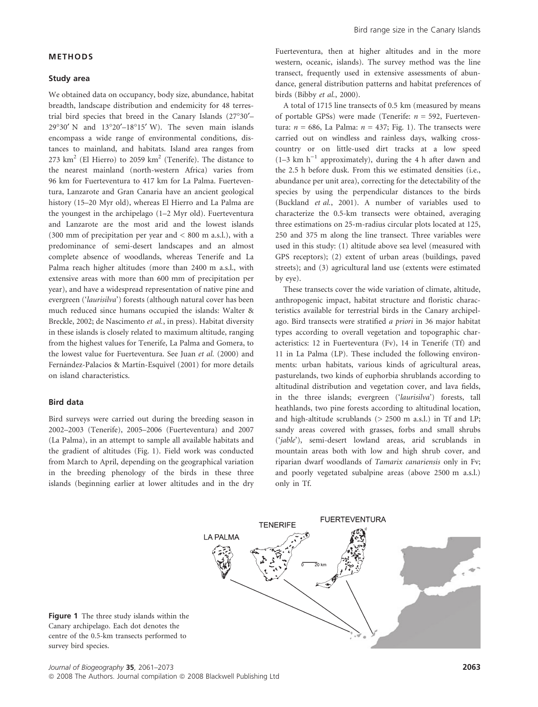## METHODS

### Study area

We obtained data on occupancy, body size, abundance, habitat breadth, landscape distribution and endemicity for 48 terrestrial bird species that breed in the Canary Islands (27°30′—  $29^{\circ}30'$  N and  $13^{\circ}20'$  -  $18^{\circ}15'$  W). The seven main islands encompass a wide range of environmental conditions, distances to mainland, and habitats. Island area ranges from  $273 \text{ km}^2$  (El Hierro) to 2059 km<sup>2</sup> (Tenerife). The distance to the nearest mainland (north-western Africa) varies from 96 km for Fuerteventura to 417 km for La Palma. Fuerteventura, Lanzarote and Gran Canaria have an ancient geological history (15–20 Myr old), whereas El Hierro and La Palma are the youngest in the archipelago (1–2 Myr old). Fuerteventura and Lanzarote are the most arid and the lowest islands (300 mm of precipitation per year and < 800 m a.s.l.), with a predominance of semi-desert landscapes and an almost complete absence of woodlands, whereas Tenerife and La Palma reach higher altitudes (more than 2400 m a.s.l., with extensive areas with more than 600 mm of precipitation per year), and have a widespread representation of native pine and evergreen ('laurisilva') forests (although natural cover has been much reduced since humans occupied the islands: Walter & Breckle, 2002; de Nascimento et al., in press). Habitat diversity in these islands is closely related to maximum altitude, ranging from the highest values for Tenerife, La Palma and Gomera, to the lowest value for Fuerteventura. See Juan et al. (2000) and Fernández-Palacios & Martín-Esquivel (2001) for more details on island characteristics.

## Bird data

Bird surveys were carried out during the breeding season in 2002–2003 (Tenerife), 2005–2006 (Fuerteventura) and 2007 (La Palma), in an attempt to sample all available habitats and the gradient of altitudes (Fig. 1). Field work was conducted from March to April, depending on the geographical variation in the breeding phenology of the birds in these three islands (beginning earlier at lower altitudes and in the dry

Fuerteventura, then at higher altitudes and in the more western, oceanic, islands). The survey method was the line transect, frequently used in extensive assessments of abundance, general distribution patterns and habitat preferences of birds (Bibby et al., 2000).

A total of 1715 line transects of 0.5 km (measured by means of portable GPSs) were made (Tenerife:  $n = 592$ , Fuerteventura:  $n = 686$ , La Palma:  $n = 437$ ; Fig. 1). The transects were carried out on windless and rainless days, walking crosscountry or on little-used dirt tracks at a low speed  $(1-3 \text{ km h}^{-1})$  approximately), during the 4 h after dawn and the 2.5 h before dusk. From this we estimated densities (i.e., abundance per unit area), correcting for the detectability of the species by using the perpendicular distances to the birds (Buckland et al., 2001). A number of variables used to characterize the 0.5-km transects were obtained, averaging three estimations on 25-m-radius circular plots located at 125, 250 and 375 m along the line transect. Three variables were used in this study: (1) altitude above sea level (measured with GPS receptors); (2) extent of urban areas (buildings, paved streets); and (3) agricultural land use (extents were estimated by eye).

These transects cover the wide variation of climate, altitude, anthropogenic impact, habitat structure and floristic characteristics available for terrestrial birds in the Canary archipelago. Bird transects were stratified a priori in 36 major habitat types according to overall vegetation and topographic characteristics: 12 in Fuerteventura (Fv), 14 in Tenerife (Tf) and 11 in La Palma (LP). These included the following environments: urban habitats, various kinds of agricultural areas, pasturelands, two kinds of euphorbia shrublands according to altitudinal distribution and vegetation cover, and lava fields, in the three islands; evergreen ('laurisilva') forests, tall heathlands, two pine forests according to altitudinal location, and high-altitude scrublands (> 2500 m a.s.l.) in Tf and LP; sandy areas covered with grasses, forbs and small shrubs ('jable'), semi-desert lowland areas, arid scrublands in mountain areas both with low and high shrub cover, and riparian dwarf woodlands of Tamarix canariensis only in Fv; and poorly vegetated subalpine areas (above 2500 m a.s.l.) only in Tf.

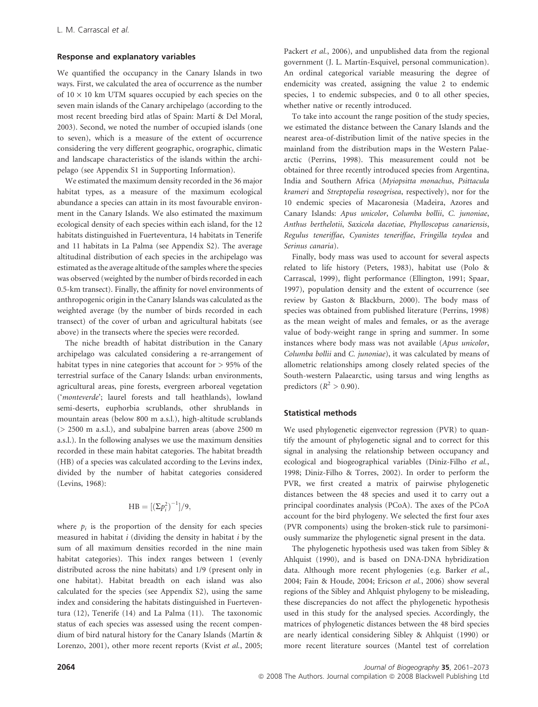#### Response and explanatory variables

We quantified the occupancy in the Canary Islands in two ways. First, we calculated the area of occurrence as the number of  $10 \times 10$  km UTM squares occupied by each species on the seven main islands of the Canary archipelago (according to the most recent breeding bird atlas of Spain: Martí & Del Moral, 2003). Second, we noted the number of occupied islands (one to seven), which is a measure of the extent of occurrence considering the very different geographic, orographic, climatic and landscape characteristics of the islands within the archipelago (see Appendix S1 in Supporting Information).

We estimated the maximum density recorded in the 36 major habitat types, as a measure of the maximum ecological abundance a species can attain in its most favourable environment in the Canary Islands. We also estimated the maximum ecological density of each species within each island, for the 12 habitats distinguished in Fuerteventura, 14 habitats in Tenerife and 11 habitats in La Palma (see Appendix S2). The average altitudinal distribution of each species in the archipelago was estimated as the average altitude of the samples where the species was observed (weighted by the number of birds recorded in each 0.5-km transect). Finally, the affinity for novel environments of anthropogenic origin in the Canary Islands was calculated as the weighted average (by the number of birds recorded in each transect) of the cover of urban and agricultural habitats (see above) in the transects where the species were recorded.

The niche breadth of habitat distribution in the Canary archipelago was calculated considering a re-arrangement of habitat types in nine categories that account for  $> 95\%$  of the terrestrial surface of the Canary Islands: urban environments, agricultural areas, pine forests, evergreen arboreal vegetation ('monteverde'; laurel forests and tall heathlands), lowland semi-deserts, euphorbia scrublands, other shrublands in mountain areas (below 800 m a.s.l.), high-altitude scrublands (> 2500 m a.s.l.), and subalpine barren areas (above 2500 m a.s.l.). In the following analyses we use the maximum densities recorded in these main habitat categories. The habitat breadth (HB) of a species was calculated according to the Levins index, divided by the number of habitat categories considered (Levins, 1968):

$$
HB = [(\Sigma p_i^2)^{-1}]/9,
$$

where  $p_i$  is the proportion of the density for each species measured in habitat  $i$  (dividing the density in habitat  $i$  by the sum of all maximum densities recorded in the nine main habitat categories). This index ranges between 1 (evenly distributed across the nine habitats) and 1/9 (present only in one habitat). Habitat breadth on each island was also calculated for the species (see Appendix S2), using the same index and considering the habitats distinguished in Fuerteventura (12), Tenerife (14) and La Palma (11). The taxonomic status of each species was assessed using the recent compendium of bird natural history for the Canary Islands (Martín & Lorenzo, 2001), other more recent reports (Kvist et al., 2005; Packert et al., 2006), and unpublished data from the regional government (J. L. Martín-Esquivel, personal communication). An ordinal categorical variable measuring the degree of endemicity was created, assigning the value 2 to endemic species, 1 to endemic subspecies, and 0 to all other species, whether native or recently introduced.

To take into account the range position of the study species, we estimated the distance between the Canary Islands and the nearest area-of-distribution limit of the native species in the mainland from the distribution maps in the Western Palaearctic (Perrins, 1998). This measurement could not be obtained for three recently introduced species from Argentina, India and Southern Africa (Myiopsitta monachus, Psittacula krameri and Streptopelia roseogrisea, respectively), nor for the 10 endemic species of Macaronesia (Madeira, Azores and Canary Islands: Apus unicolor, Columba bollii, C. junoniae, Anthus berthelotii, Saxicola dacotiae, Phylloscopus canariensis, Regulus teneriffae, Cyanistes teneriffae, Fringilla teydea and Serinus canaria).

Finally, body mass was used to account for several aspects related to life history (Peters, 1983), habitat use (Polo & Carrascal, 1999), flight performance (Ellington, 1991; Spaar, 1997), population density and the extent of occurrence (see review by Gaston & Blackburn, 2000). The body mass of species was obtained from published literature (Perrins, 1998) as the mean weight of males and females, or as the average value of body-weight range in spring and summer. In some instances where body mass was not available (Apus unicolor, Columba bollii and C. junoniae), it was calculated by means of allometric relationships among closely related species of the South-western Palaearctic, using tarsus and wing lengths as predictors  $(R^2 > 0.90)$ .

## Statistical methods

We used phylogenetic eigenvector regression (PVR) to quantify the amount of phylogenetic signal and to correct for this signal in analysing the relationship between occupancy and ecological and biogeographical variables (Diniz-Filho et al., 1998; Diniz-Filho & Torres, 2002). In order to perform the PVR, we first created a matrix of pairwise phylogenetic distances between the 48 species and used it to carry out a principal coordinates analysis (PCoA). The axes of the PCoA account for the bird phylogeny. We selected the first four axes (PVR components) using the broken-stick rule to parsimoniously summarize the phylogenetic signal present in the data.

The phylogenetic hypothesis used was taken from Sibley & Ahlquist (1990), and is based on DNA-DNA hybridization data. Although more recent phylogenies (e.g. Barker et al., 2004; Fain & Houde, 2004; Ericson et al., 2006) show several regions of the Sibley and Ahlquist phylogeny to be misleading, these discrepancies do not affect the phylogenetic hypothesis used in this study for the analysed species. Accordingly, the matrices of phylogenetic distances between the 48 bird species are nearly identical considering Sibley & Ahlquist (1990) or more recent literature sources (Mantel test of correlation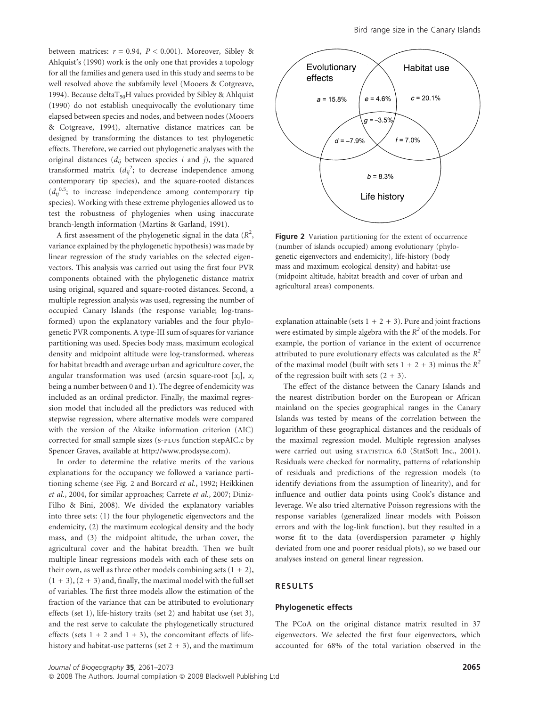between matrices:  $r = 0.94$ ,  $P < 0.001$ ). Moreover, Sibley & Ahlquist's (1990) work is the only one that provides a topology for all the families and genera used in this study and seems to be well resolved above the subfamily level (Mooers & Cotgreave, 1994). Because deltaT<sub>50</sub>H values provided by Sibley & Ahlquist (1990) do not establish unequivocally the evolutionary time elapsed between species and nodes, and between nodes (Mooers & Cotgreave, 1994), alternative distance matrices can be designed by transforming the distances to test phylogenetic effects. Therefore, we carried out phylogenetic analyses with the original distances  $(d_{ii}$  between species i and j), the squared transformed matrix  $(d_{ij}^2)$ ; to decrease independence among contemporary tip species), and the square-rooted distances  $(d_{ij}^{0.5})$ ; to increase independence among contemporary tip species). Working with these extreme phylogenies allowed us to test the robustness of phylogenies when using inaccurate branch-length information (Martins & Garland, 1991).

A first assessment of the phylogenetic signal in the data  $(R^2,$ variance explained by the phylogenetic hypothesis) was made by linear regression of the study variables on the selected eigenvectors. This analysis was carried out using the first four PVR components obtained with the phylogenetic distance matrix using original, squared and square-rooted distances. Second, a multiple regression analysis was used, regressing the number of occupied Canary Islands (the response variable; log-transformed) upon the explanatory variables and the four phylogenetic PVR components. A type-III sum of squares for variance partitioning was used. Species body mass, maximum ecological density and midpoint altitude were log-transformed, whereas for habitat breadth and average urban and agriculture cover, the angular transformation was used (arcsin square-root  $[x_i]$ ,  $x_i$ being a number between 0 and 1). The degree of endemicity was included as an ordinal predictor. Finally, the maximal regression model that included all the predictors was reduced with stepwise regression, where alternative models were compared with the version of the Akaike information criterion (AIC) corrected for small sample sizes (s-plus function stepAIC.c by Spencer Graves, available at http://www.prodsyse.com).

In order to determine the relative merits of the various explanations for the occupancy we followed a variance partitioning scheme (see Fig. 2 and Borcard et al., 1992; Heikkinen et al., 2004, for similar approaches; Carrete et al., 2007; Diniz-Filho & Bini, 2008). We divided the explanatory variables into three sets: (1) the four phylogenetic eigenvectors and the endemicity, (2) the maximum ecological density and the body mass, and (3) the midpoint altitude, the urban cover, the agricultural cover and the habitat breadth. Then we built multiple linear regressions models with each of these sets on their own, as well as three other models combining sets  $(1 + 2)$ ,  $(1 + 3)$ ,  $(2 + 3)$  and, finally, the maximal model with the full set of variables. The first three models allow the estimation of the fraction of the variance that can be attributed to evolutionary effects (set 1), life-history traits (set 2) and habitat use (set 3), and the rest serve to calculate the phylogenetically structured effects (sets  $1 + 2$  and  $1 + 3$ ), the concomitant effects of lifehistory and habitat-use patterns (set  $2 + 3$ ), and the maximum



Figure 2 Variation partitioning for the extent of occurrence (number of islands occupied) among evolutionary (phylogenetic eigenvectors and endemicity), life-history (body mass and maximum ecological density) and habitat-use (midpoint altitude, habitat breadth and cover of urban and agricultural areas) components.

explanation attainable (sets  $1 + 2 + 3$ ). Pure and joint fractions were estimated by simple algebra with the  $R^2$  of the models. For example, the portion of variance in the extent of occurrence attributed to pure evolutionary effects was calculated as the  $R^2$ of the maximal model (built with sets  $1 + 2 + 3$ ) minus the  $R^2$ of the regression built with sets  $(2 + 3)$ .

The effect of the distance between the Canary Islands and the nearest distribution border on the European or African mainland on the species geographical ranges in the Canary Islands was tested by means of the correlation between the logarithm of these geographical distances and the residuals of the maximal regression model. Multiple regression analyses were carried out using STATISTICA 6.0 (StatSoft Inc., 2001). Residuals were checked for normality, patterns of relationship of residuals and predictions of the regression models (to identify deviations from the assumption of linearity), and for influence and outlier data points using Cook's distance and leverage. We also tried alternative Poisson regressions with the response variables (generalized linear models with Poisson errors and with the log-link function), but they resulted in a worse fit to the data (overdispersion parameter  $\varphi$  highly deviated from one and poorer residual plots), so we based our analyses instead on general linear regression.

## RESULTS

#### Phylogenetic effects

The PCoA on the original distance matrix resulted in 37 eigenvectors. We selected the first four eigenvectors, which accounted for 68% of the total variation observed in the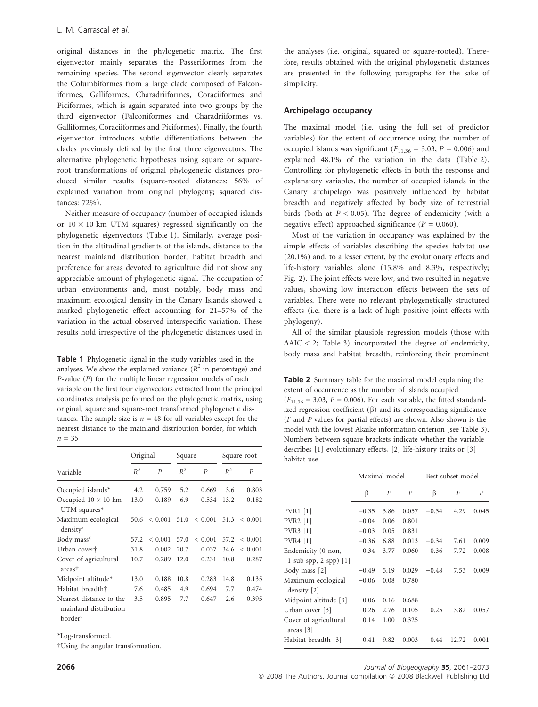original distances in the phylogenetic matrix. The first eigenvector mainly separates the Passeriformes from the remaining species. The second eigenvector clearly separates the Columbiformes from a large clade composed of Falconiformes, Galliformes, Charadriiformes, Coraciiformes and Piciformes, which is again separated into two groups by the third eigenvector (Falconiformes and Charadriiformes vs. Galliformes, Coraciiformes and Piciformes). Finally, the fourth eigenvector introduces subtle differentiations between the clades previously defined by the first three eigenvectors. The alternative phylogenetic hypotheses using square or squareroot transformations of original phylogenetic distances produced similar results (square-rooted distances: 56% of explained variation from original phylogeny; squared distances: 72%).

Neither measure of occupancy (number of occupied islands or  $10 \times 10$  km UTM squares) regressed significantly on the phylogenetic eigenvectors (Table 1). Similarly, average position in the altitudinal gradients of the islands, distance to the nearest mainland distribution border, habitat breadth and preference for areas devoted to agriculture did not show any appreciable amount of phylogenetic signal. The occupation of urban environments and, most notably, body mass and maximum ecological density in the Canary Islands showed a marked phylogenetic effect accounting for 21–57% of the variation in the actual observed interspecific variation. These results hold irrespective of the phylogenetic distances used in

analyses. We show the explained variance  $(R^2$  in percentage) and P-value (P) for the multiple linear regression models of each variable on the first four eigenvectors extracted from the principal coordinates analysis performed on the phylogenetic matrix, using original, square and square-root transformed phylogenetic distances. The sample size is  $n = 48$  for all variables except for the nearest distance to the mainland distribution border, for which  $n = 35$ 

|                                                             | Original |                  | Square |                  | Square root |                  |  |
|-------------------------------------------------------------|----------|------------------|--------|------------------|-------------|------------------|--|
| Variable                                                    | $R^2$    | $\boldsymbol{P}$ | $R^2$  | $\boldsymbol{P}$ | $R^2$       | $\boldsymbol{P}$ |  |
| Occupied islands*                                           | 4.2      | 0.759            | 5.2    | 0.669            | 3.6         | 0.803            |  |
| Occupied $10 \times 10$ km<br>UTM squares $*$               | 13.0     | 0.189            | 6.9    | 0.534            | 13.2        | 0.182            |  |
| Maximum ecological<br>$density*$                            | 50.6     | ${}< 0.001$      |        | $51.0 \le 0.001$ | 51.3        | ${}< 0.001$      |  |
| Body mass*                                                  | 57.2     | ${}< 0.001$      | 57.0   | ${}< 0.001$      | 57.2        | ${}< 0.001$      |  |
| Urban covert                                                | 31.8     | 0.002            | 20.7   | 0.037            | 34.6        | ${}< 0.001$      |  |
| Cover of agricultural<br>areas <sup>†</sup>                 | 10.7     | 0.289            | 12.0   | 0.231            | 10.8        | 0.287            |  |
| Midpoint altitude*                                          | 13.0     | 0.188            | 10.8   | 0.283            | 14.8        | 0.135            |  |
| Habitat breadth†                                            | 7.6      | 0.485            | 4.9    | 0.694            | 7.7         | 0.474            |  |
| Nearest distance to the<br>mainland distribution<br>border* | 3.5      | 0.895            | 7.7    | 0.647            | 2.6         | 0.395            |  |

\*Log-transformed.

-Using the angular transformation.

the analyses (i.e. original, squared or square-rooted). Therefore, results obtained with the original phylogenetic distances are presented in the following paragraphs for the sake of simplicity.

#### Archipelago occupancy

The maximal model (i.e. using the full set of predictor variables) for the extent of occurrence using the number of occupied islands was significant ( $F_{11,36} = 3.03$ ,  $P = 0.006$ ) and explained 48.1% of the variation in the data (Table 2). Controlling for phylogenetic effects in both the response and explanatory variables, the number of occupied islands in the Canary archipelago was positively influenced by habitat breadth and negatively affected by body size of terrestrial birds (both at  $P < 0.05$ ). The degree of endemicity (with a negative effect) approached significance ( $P = 0.060$ ).

Most of the variation in occupancy was explained by the simple effects of variables describing the species habitat use (20.1%) and, to a lesser extent, by the evolutionary effects and life-history variables alone (15.8% and 8.3%, respectively; Fig. 2). The joint effects were low, and two resulted in negative values, showing low interaction effects between the sets of variables. There were no relevant phylogenetically structured effects (i.e. there is a lack of high positive joint effects with phylogeny).

All of the similar plausible regression models (those with  $\Delta AIC < 2$ ; Table 3) incorporated the degree of endemicity, **Table 1** Phylogenetic signal in the study variables used in the body mass and habitat breadth, reinforcing their prominent

Table 2 Summary table for the maximal model explaining the extent of occurrence as the number of islands occupied  $(F<sub>11,36</sub> = 3.03, P = 0.006)$ . For each variable, the fitted standardized regression coefficient  $(\beta)$  and its corresponding significance (F and P values for partial effects) are shown. Also shown is the model with the lowest Akaike information criterion (see Table 3). Numbers between square brackets indicate whether the variable describes [1] evolutionary effects, [2] life-history traits or [3] habitat use

|                                                  | Maximal model |      |       | Best subset model |       |       |  |
|--------------------------------------------------|---------------|------|-------|-------------------|-------|-------|--|
|                                                  | β             | F    | P     | β                 | F     | P     |  |
| <b>PVR1</b> [1]                                  | $-0.35$       | 3.86 | 0.057 | $-0.34$           | 4.29  | 0.045 |  |
| <b>PVR2</b> [1]                                  | $-0.04$       | 0.06 | 0.801 |                   |       |       |  |
| PVR3 [1]                                         | $-0.03$       | 0.05 | 0.831 |                   |       |       |  |
| <b>PVR4</b> [1]                                  | $-0.36$       | 6.88 | 0.013 | $-0.34$           | 7.61  | 0.009 |  |
| Endemicity (0-non,                               | $-0.34$       | 3.77 | 0.060 | $-0.36$           | 7.72  | 0.008 |  |
| $1$ -sub spp, 2-spp $ 1 $                        |               |      |       |                   |       |       |  |
| Body mass [2]                                    | $-0.49$       | 5.19 | 0.029 | $-0.48$           | 7.53  | 0.009 |  |
| Maximum ecological<br>density [2]                | $-0.06$       | 0.08 | 0.780 |                   |       |       |  |
| Midpoint altitude [3]                            | 0.06          | 0.16 | 0.688 |                   |       |       |  |
| Urban cover [3]                                  | 0.26          | 2.76 | 0.105 | 0.25              | 3.82  | 0.057 |  |
| Cover of agricultural<br>areas $\lceil 3 \rceil$ | 0.14          | 1.00 | 0.325 |                   |       |       |  |
| Habitat breadth [3]                              | 0.41          | 9.82 | 0.003 | 0.44              | 12.72 | 0.001 |  |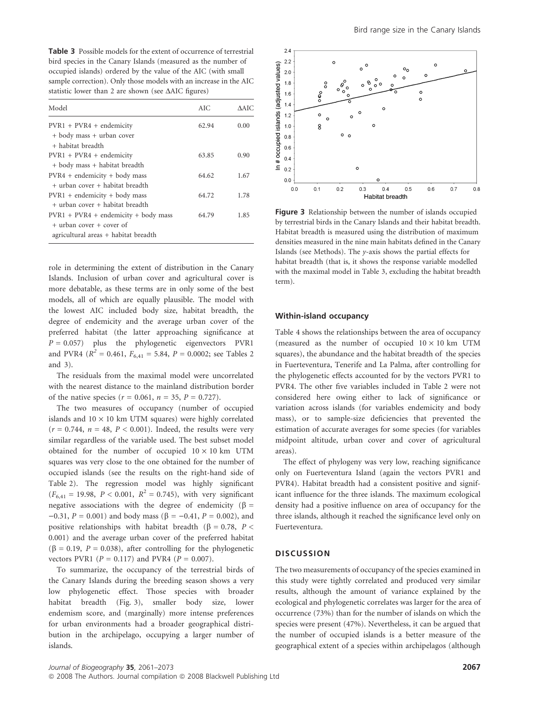Table 3 Possible models for the extent of occurrence of terrestrial bird species in the Canary Islands (measured as the number of occupied islands) ordered by the value of the AIC (with small sample correction). Only those models with an increase in the AIC statistic lower than 2 are shown (see  $\triangle$ AIC figures)

| Model                                  | AIC.  | AAIC |
|----------------------------------------|-------|------|
| $PVR1 + PVR4 + endemicity$             | 62.94 | 0.00 |
| + body mass + urban cover              |       |      |
| + habitat breadth                      |       |      |
| $PVR1 + PVR4 + endemicity$             | 63.85 | 0.90 |
| + body mass + habitat breadth          |       |      |
| $PVR4 + endemicity + body mass$        | 64.62 | 1.67 |
| + urban cover + habitat breadth        |       |      |
| $PVR1 + endemicity + body mass$        | 64.72 | 1.78 |
| + urban cover + habitat breadth        |       |      |
| $PVR1 + PVR4 + endemicity + body mass$ | 64.79 | 1.85 |
| $+$ urban cover $+$ cover of           |       |      |
| agricultural areas + habitat breadth   |       |      |

role in determining the extent of distribution in the Canary Islands. Inclusion of urban cover and agricultural cover is more debatable, as these terms are in only some of the best models, all of which are equally plausible. The model with the lowest AIC included body size, habitat breadth, the degree of endemicity and the average urban cover of the preferred habitat (the latter approaching significance at  $P = 0.057$ ) plus the phylogenetic eigenvectors PVR1 and PVR4 ( $R^2$  = 0.461,  $F_{6,41}$  = 5.84,  $P$  = 0.0002; see Tables 2 and 3).

The residuals from the maximal model were uncorrelated with the nearest distance to the mainland distribution border of the native species ( $r = 0.061$ ,  $n = 35$ ,  $P = 0.727$ ).

The two measures of occupancy (number of occupied islands and  $10 \times 10$  km UTM squares) were highly correlated  $(r = 0.744, n = 48, P < 0.001)$ . Indeed, the results were very similar regardless of the variable used. The best subset model obtained for the number of occupied  $10 \times 10$  km UTM squares was very close to the one obtained for the number of occupied islands (see the results on the right-hand side of Table 2). The regression model was highly significant  $(F_{6,41} = 19.98, P < 0.001, R^2 = 0.745)$ , with very significant negative associations with the degree of endemicity ( $\beta$  =  $-0.31$ ,  $P = 0.001$ ) and body mass ( $\beta = -0.41$ ,  $P = 0.002$ ), and positive relationships with habitat breadth ( $\beta = 0.78$ ,  $P <$ 0.001) and the average urban cover of the preferred habitat ( $\beta$  = 0.19, *P* = 0.038), after controlling for the phylogenetic vectors PVR1 ( $P = 0.117$ ) and PVR4 ( $P = 0.007$ ).

To summarize, the occupancy of the terrestrial birds of the Canary Islands during the breeding season shows a very low phylogenetic effect. Those species with broader habitat breadth (Fig. 3), smaller body size, lower endemism score, and (marginally) more intense preferences for urban environments had a broader geographical distribution in the archipelago, occupying a larger number of islands.



Figure 3 Relationship between the number of islands occupied by terrestrial birds in the Canary Islands and their habitat breadth. Habitat breadth is measured using the distribution of maximum densities measured in the nine main habitats defined in the Canary Islands (see Methods). The y-axis shows the partial effects for habitat breadth (that is, it shows the response variable modelled with the maximal model in Table 3, excluding the habitat breadth term).

#### Within-island occupancy

Table 4 shows the relationships between the area of occupancy (measured as the number of occupied  $10 \times 10$  km UTM squares), the abundance and the habitat breadth of the species in Fuerteventura, Tenerife and La Palma, after controlling for the phylogenetic effects accounted for by the vectors PVR1 to PVR4. The other five variables included in Table 2 were not considered here owing either to lack of significance or variation across islands (for variables endemicity and body mass), or to sample-size deficiencies that prevented the estimation of accurate averages for some species (for variables midpoint altitude, urban cover and cover of agricultural areas).

The effect of phylogeny was very low, reaching significance only on Fuerteventura Island (again the vectors PVR1 and PVR4). Habitat breadth had a consistent positive and significant influence for the three islands. The maximum ecological density had a positive influence on area of occupancy for the three islands, although it reached the significance level only on Fuerteventura.

## **DISCUSSION**

The two measurements of occupancy of the species examined in this study were tightly correlated and produced very similar results, although the amount of variance explained by the ecological and phylogenetic correlates was larger for the area of occurrence (73%) than for the number of islands on which the species were present (47%). Nevertheless, it can be argued that the number of occupied islands is a better measure of the geographical extent of a species within archipelagos (although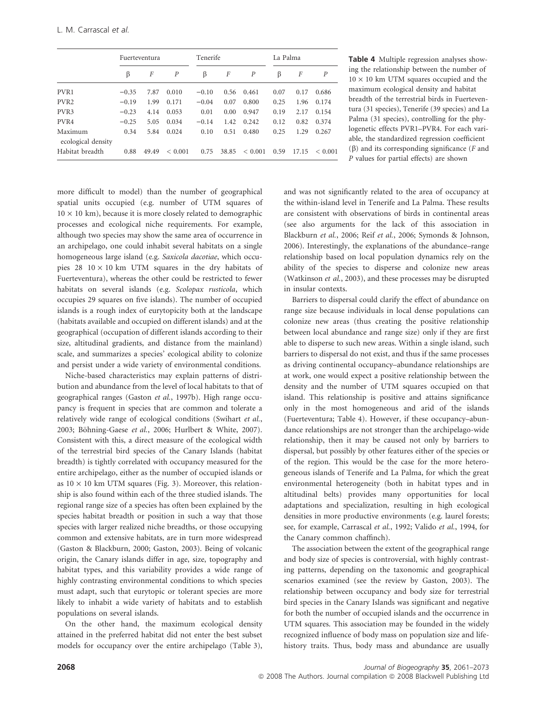|                               | Fuerteventura |       | Tenerife         |         |       | La Palma         |      |       |             |
|-------------------------------|---------------|-------|------------------|---------|-------|------------------|------|-------|-------------|
|                               | β             | F     | $\boldsymbol{P}$ | β       | F     | $\boldsymbol{P}$ | β    | F     | Р           |
| PVR <sub>1</sub>              | $-0.35$       | 7.87  | 0.010            | $-0.10$ | 0.56  | 0.461            | 0.07 | 0.17  | 0.686       |
| PVR <sub>2</sub>              | $-0.19$       | 1.99  | 0.171            | $-0.04$ | 0.07  | 0.800            | 0.25 | 1.96  | 0.174       |
| PVR <sub>3</sub>              | $-0.23$       | 4.14  | 0.053            | 0.01    | 0.00  | 0.947            | 0.19 | 2.17  | 0.154       |
| PVR4                          | $-0.25$       | 5.05  | 0.034            | $-0.14$ | 1.42  | 0.242            | 0.12 | 0.82  | 0.374       |
| Maximum<br>ecological density | 0.34          | 5.84  | 0.024            | 0.10    | 0.51  | 0.480            | 0.25 | 1.29  | 0.267       |
| Habitat breadth               | 0.88          | 49.49 | ${}< 0.001$      | 0.75    | 38.85 | ${}< 0.001$      | 0.59 | 17.15 | ${}< 0.001$ |

more difficult to model) than the number of geographical spatial units occupied (e.g. number of UTM squares of  $10 \times 10$  km), because it is more closely related to demographic processes and ecological niche requirements. For example, although two species may show the same area of occurrence in an archipelago, one could inhabit several habitats on a single homogeneous large island (e.g. Saxicola dacotiae, which occupies 28  $10 \times 10$  km UTM squares in the dry habitats of Fuerteventura), whereas the other could be restricted to fewer habitats on several islands (e.g. Scolopax rusticola, which occupies 29 squares on five islands). The number of occupied islands is a rough index of eurytopicity both at the landscape (habitats available and occupied on different islands) and at the geographical (occupation of different islands according to their size, altitudinal gradients, and distance from the mainland) scale, and summarizes a species' ecological ability to colonize and persist under a wide variety of environmental conditions.

Niche-based characteristics may explain patterns of distribution and abundance from the level of local habitats to that of geographical ranges (Gaston et al., 1997b). High range occupancy is frequent in species that are common and tolerate a relatively wide range of ecological conditions (Swihart et al., 2003; Böhning-Gaese et al., 2006; Hurlbert & White, 2007). Consistent with this, a direct measure of the ecological width of the terrestrial bird species of the Canary Islands (habitat breadth) is tightly correlated with occupancy measured for the entire archipelago, either as the number of occupied islands or as  $10 \times 10$  km UTM squares (Fig. 3). Moreover, this relationship is also found within each of the three studied islands. The regional range size of a species has often been explained by the species habitat breadth or position in such a way that those species with larger realized niche breadths, or those occupying common and extensive habitats, are in turn more widespread (Gaston & Blackburn, 2000; Gaston, 2003). Being of volcanic origin, the Canary islands differ in age, size, topography and habitat types, and this variability provides a wide range of highly contrasting environmental conditions to which species must adapt, such that eurytopic or tolerant species are more likely to inhabit a wide variety of habitats and to establish populations on several islands.

On the other hand, the maximum ecological density attained in the preferred habitat did not enter the best subset models for occupancy over the entire archipelago (Table 3),

Table 4 Multiple regression analyses showing the relationship between the number of  $10 \times 10$  km UTM squares occupied and the maximum ecological density and habitat breadth of the terrestrial birds in Fuerteventura (31 species), Tenerife (39 species) and La Palma (31 species), controlling for the phylogenetic effects PVR1–PVR4. For each variable, the standardized regression coefficient  $(\beta)$  and its corresponding significance (F and P values for partial effects) are shown

and was not significantly related to the area of occupancy at the within-island level in Tenerife and La Palma. These results are consistent with observations of birds in continental areas (see also arguments for the lack of this association in Blackburn et al., 2006; Reif et al., 2006; Symonds & Johnson, 2006). Interestingly, the explanations of the abundance–range relationship based on local population dynamics rely on the ability of the species to disperse and colonize new areas (Watkinson et al., 2003), and these processes may be disrupted in insular contexts.

Barriers to dispersal could clarify the effect of abundance on range size because individuals in local dense populations can colonize new areas (thus creating the positive relationship between local abundance and range size) only if they are first able to disperse to such new areas. Within a single island, such barriers to dispersal do not exist, and thus if the same processes as driving continental occupancy–abundance relationships are at work, one would expect a positive relationship between the density and the number of UTM squares occupied on that island. This relationship is positive and attains significance only in the most homogeneous and arid of the islands (Fuerteventura; Table 4). However, if these occupancy–abundance relationships are not stronger than the archipelago-wide relationship, then it may be caused not only by barriers to dispersal, but possibly by other features either of the species or of the region. This would be the case for the more heterogeneous islands of Tenerife and La Palma, for which the great environmental heterogeneity (both in habitat types and in altitudinal belts) provides many opportunities for local adaptations and specialization, resulting in high ecological densities in more productive environments (e.g. laurel forests; see, for example, Carrascal et al., 1992; Valido et al., 1994, for the Canary common chaffinch).

The association between the extent of the geographical range and body size of species is controversial, with highly contrasting patterns, depending on the taxonomic and geographical scenarios examined (see the review by Gaston, 2003). The relationship between occupancy and body size for terrestrial bird species in the Canary Islands was significant and negative for both the number of occupied islands and the occurrence in UTM squares. This association may be founded in the widely recognized influence of body mass on population size and lifehistory traits. Thus, body mass and abundance are usually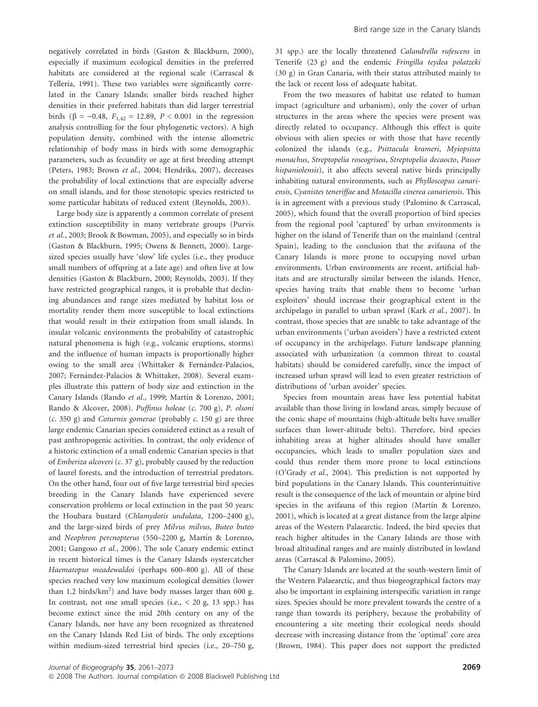negatively correlated in birds (Gaston & Blackburn, 2000), especially if maximum ecological densities in the preferred habitats are considered at the regional scale (Carrascal & Tellería, 1991). These two variables were significantly correlated in the Canary Islands: smaller birds reached higher densities in their preferred habitats than did larger terrestrial birds ( $\beta = -0.48$ ,  $F_{1,42} = 12.89$ ,  $P < 0.001$  in the regression analysis controlling for the four phylogenetic vectors). A high population density, combined with the intense allometric relationship of body mass in birds with some demographic parameters, such as fecundity or age at first breeding attempt (Peters, 1983; Brown et al., 2004; Hendriks, 2007), decreases the probability of local extinctions that are especially adverse on small islands, and for those stenotopic species restricted to some particular habitats of reduced extent (Reynolds, 2003).

Large body size is apparently a common correlate of present extinction susceptibility in many vertebrate groups (Purvis et al., 2003; Brook & Bowman, 2005), and especially so in birds (Gaston & Blackburn, 1995; Owens & Bennett, 2000). Largesized species usually have 'slow' life cycles (i.e., they produce small numbers of offspring at a late age) and often live at low densities (Gaston & Blackburn, 2000; Reynolds, 2003). If they have restricted geographical ranges, it is probable that declining abundances and range sizes mediated by habitat loss or mortality render them more susceptible to local extinctions that would result in their extirpation from small islands. In insular volcanic environments the probability of catastrophic natural phenomena is high (e.g., volcanic eruptions, storms) and the influence of human impacts is proportionally higher owing to the small area (Whittaker & Fernández-Palacios, 2007; Fernández-Palacios & Whittaker, 2008). Several examples illustrate this pattern of body size and extinction in the Canary Islands (Rando et al., 1999; Martín & Lorenzo, 2001; Rando & Alcover, 2008). Puffinus holeae (c. 700 g), P. olsoni  $(c. 350 g)$  and *Coturnix gomerae* (probably  $c. 150 g$ ) are three large endemic Canarian species considered extinct as a result of past anthropogenic activities. In contrast, the only evidence of a historic extinction of a small endemic Canarian species is that of Emberiza alcoveri (c. 37 g), probably caused by the reduction of laurel forests, and the introduction of terrestrial predators. On the other hand, four out of five large terrestrial bird species breeding in the Canary Islands have experienced severe conservation problems or local extinction in the past 50 years: the Houbara bustard (Chlamydotis undulata, 1200–2400 g), and the large-sized birds of prey Milvus milvus, Buteo buteo and Neophron percnopterus (550-2200 g, Martín & Lorenzo, 2001; Gangoso et al., 2006). The sole Canary endemic extinct in recent historical times is the Canary Islands oystercatcher Haematopus meadewaldoi (perhaps 600–800 g). All of these species reached very low maximum ecological densities (lower than 1.2 birds/ $km<sup>2</sup>$ ) and have body masses larger than 600 g. In contrast, not one small species (i.e.,  $<$  20 g, 13 spp.) has become extinct since the mid 20th century on any of the Canary Islands, nor have any been recognized as threatened on the Canary Islands Red List of birds. The only exceptions within medium-sized terrestrial bird species (i.e., 20–750 g,

31 spp.) are the locally threatened Calandrella rufescens in Tenerife (23 g) and the endemic Fringilla teydea polatzeki (30 g) in Gran Canaria, with their status attributed mainly to the lack or recent loss of adequate habitat.

From the two measures of habitat use related to human impact (agriculture and urbanism), only the cover of urban structures in the areas where the species were present was directly related to occupancy. Although this effect is quite obvious with alien species or with those that have recently colonized the islands (e.g., Psittacula krameri, Myiopsitta monachus, Streptopelia roseogrisea, Streptopelia decaocto, Passer hispaniolensis), it also affects several native birds principally inhabiting natural environments, such as Phylloscopus canariensis, Cyanistes teneriffae and Motacilla cinerea canariensis. This is in agreement with a previous study (Palomino & Carrascal, 2005), which found that the overall proportion of bird species from the regional pool 'captured' by urban environments is higher on the island of Tenerife than on the mainland (central Spain), leading to the conclusion that the avifauna of the Canary Islands is more prone to occupying novel urban environments. Urban environments are recent, artificial habitats and are structurally similar between the islands. Hence, species having traits that enable them to become 'urban exploiters' should increase their geographical extent in the archipelago in parallel to urban sprawl (Kark et al., 2007). In contrast, those species that are unable to take advantage of the urban environments ('urban avoiders') have a restricted extent of occupancy in the archipelago. Future landscape planning associated with urbanization (a common threat to coastal habitats) should be considered carefully, since the impact of increased urban sprawl will lead to even greater restriction of distributions of 'urban avoider' species.

Species from mountain areas have less potential habitat available than those living in lowland areas, simply because of the conic shape of mountains (high-altitude belts have smaller surfaces than lower-altitude belts). Therefore, bird species inhabiting areas at higher altitudes should have smaller occupancies, which leads to smaller population sizes and could thus render them more prone to local extinctions (O'Grady et al., 2004). This prediction is not supported by bird populations in the Canary Islands. This counterintuitive result is the consequence of the lack of mountain or alpine bird species in the avifauna of this region (Martín & Lorenzo, 2001), which is located at a great distance from the large alpine areas of the Western Palaearctic. Indeed, the bird species that reach higher altitudes in the Canary Islands are those with broad altitudinal ranges and are mainly distributed in lowland areas (Carrascal & Palomino, 2005).

The Canary Islands are located at the south-western limit of the Western Palaearctic, and thus biogeographical factors may also be important in explaining interspecific variation in range sizes. Species should be more prevalent towards the centre of a range than towards its periphery, because the probability of encountering a site meeting their ecological needs should decrease with increasing distance from the 'optimal' core area (Brown, 1984). This paper does not support the predicted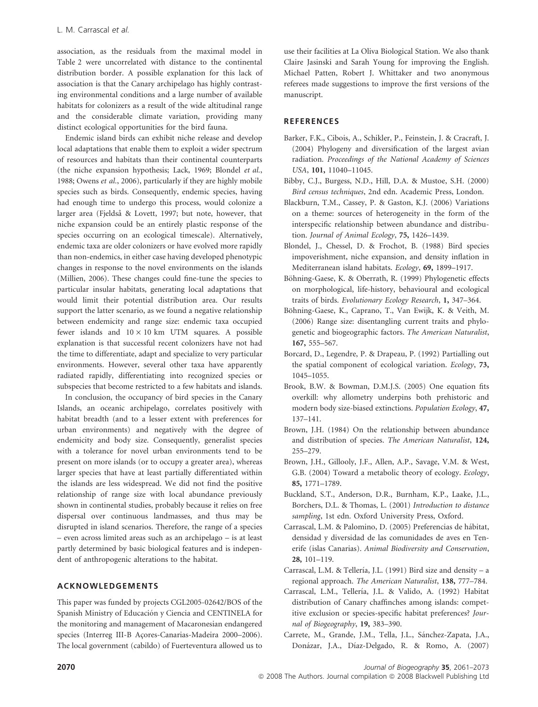association, as the residuals from the maximal model in Table 2 were uncorrelated with distance to the continental distribution border. A possible explanation for this lack of association is that the Canary archipelago has highly contrasting environmental conditions and a large number of available habitats for colonizers as a result of the wide altitudinal range and the considerable climate variation, providing many distinct ecological opportunities for the bird fauna.

Endemic island birds can exhibit niche release and develop local adaptations that enable them to exploit a wider spectrum of resources and habitats than their continental counterparts (the niche expansion hypothesis; Lack, 1969; Blondel et al., 1988; Owens et al., 2006), particularly if they are highly mobile species such as birds. Consequently, endemic species, having had enough time to undergo this process, would colonize a larger area (Fjeldså & Lovett, 1997; but note, however, that niche expansion could be an entirely plastic response of the species occurring on an ecological timescale). Alternatively, endemic taxa are older colonizers or have evolved more rapidly than non-endemics, in either case having developed phenotypic changes in response to the novel environments on the islands (Millien, 2006). These changes could fine-tune the species to particular insular habitats, generating local adaptations that would limit their potential distribution area. Our results support the latter scenario, as we found a negative relationship between endemicity and range size: endemic taxa occupied fewer islands and  $10 \times 10$  km UTM squares. A possible explanation is that successful recent colonizers have not had the time to differentiate, adapt and specialize to very particular environments. However, several other taxa have apparently radiated rapidly, differentiating into recognized species or subspecies that become restricted to a few habitats and islands.

In conclusion, the occupancy of bird species in the Canary Islands, an oceanic archipelago, correlates positively with habitat breadth (and to a lesser extent with preferences for urban environments) and negatively with the degree of endemicity and body size. Consequently, generalist species with a tolerance for novel urban environments tend to be present on more islands (or to occupy a greater area), whereas larger species that have at least partially differentiated within the islands are less widespread. We did not find the positive relationship of range size with local abundance previously shown in continental studies, probably because it relies on free dispersal over continuous landmasses, and thus may be disrupted in island scenarios. Therefore, the range of a species – even across limited areas such as an archipelago – is at least partly determined by basic biological features and is independent of anthropogenic alterations to the habitat.

# ACKNOWLEDGEMENTS

This paper was funded by projects CGL2005-02642/BOS of the Spanish Ministry of Educación y Ciencia and CENTINELA for the monitoring and management of Macaronesian endangered species (Interreg III-B Açores-Canarias-Madeira 2000–2006). The local government (cabildo) of Fuerteventura allowed us to use their facilities at La Oliva Biological Station. We also thank Claire Jasinski and Sarah Young for improving the English. Michael Patten, Robert J. Whittaker and two anonymous referees made suggestions to improve the first versions of the manuscript.

# **REFERENCES**

- Barker, F.K., Cibois, A., Schikler, P., Feinstein, J. & Cracraft, J. (2004) Phylogeny and diversification of the largest avian radiation. Proceedings of the National Academy of Sciences USA, 101, 11040–11045.
- Bibby, C.J., Burgess, N.D., Hill, D.A. & Mustoe, S.H. (2000) Bird census techniques, 2nd edn. Academic Press, London.
- Blackburn, T.M., Cassey, P. & Gaston, K.J. (2006) Variations on a theme: sources of heterogeneity in the form of the interspecific relationship between abundance and distribution. Journal of Animal Ecology, 75, 1426–1439.
- Blondel, J., Chessel, D. & Frochot, B. (1988) Bird species impoverishment, niche expansion, and density inflation in Mediterranean island habitats. Ecology, 69, 1899–1917.
- Böhning-Gaese, K. & Oberrath, R. (1999) Phylogenetic effects on morphological, life-history, behavioural and ecological traits of birds. Evolutionary Ecology Research, 1, 347–364.
- Böhning-Gaese, K., Caprano, T., Van Ewijk, K. & Veith, M. (2006) Range size: disentangling current traits and phylogenetic and biogeographic factors. The American Naturalist, 167, 555–567.
- Borcard, D., Legendre, P. & Drapeau, P. (1992) Partialling out the spatial component of ecological variation. Ecology, 73, 1045–1055.
- Brook, B.W. & Bowman, D.M.J.S. (2005) One equation fits overkill: why allometry underpins both prehistoric and modern body size-biased extinctions. Population Ecology, 47, 137–141.
- Brown, J.H. (1984) On the relationship between abundance and distribution of species. The American Naturalist, 124, 255–279.
- Brown, J.H., Gillooly, J.F., Allen, A.P., Savage, V.M. & West, G.B. (2004) Toward a metabolic theory of ecology. Ecology, 85, 1771–1789.
- Buckland, S.T., Anderson, D.R., Burnham, K.P., Laake, J.L., Borchers, D.L. & Thomas, L. (2001) Introduction to distance sampling, 1st edn. Oxford University Press, Oxford.
- Carrascal, L.M. & Palomino, D. (2005) Preferencias de hábitat, densidad y diversidad de las comunidades de aves en Tenerife (islas Canarias). Animal Biodiversity and Conservation, 28, 101–119.
- Carrascal, L.M. & Tellería, J.L. (1991) Bird size and density a regional approach. The American Naturalist, 138, 777–784.
- Carrascal, L.M., Tellería, J.L. & Valido, A. (1992) Habitat distribution of Canary chaffinches among islands: competitive exclusion or species-specific habitat preferences? Journal of Biogeography, 19, 383–390.
- Carrete, M., Grande, J.M., Tella, J.L., Sánchez-Zapata, J.A., Donázar, J.A., Díaz-Delgado, R. & Romo, A. (2007)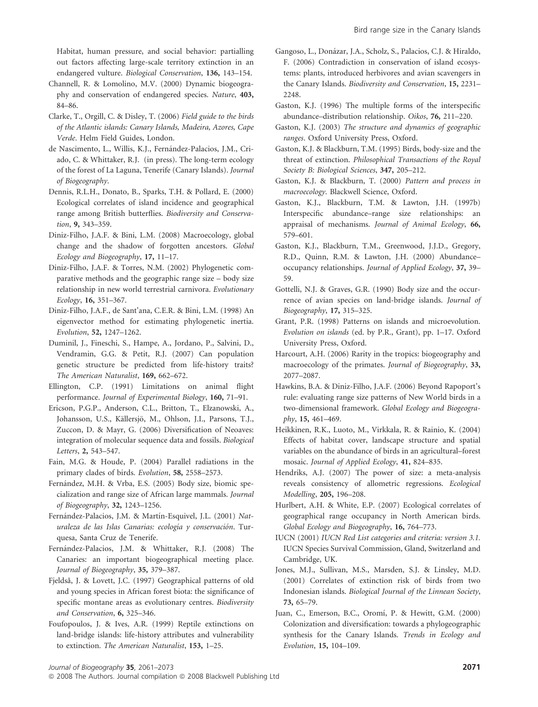Habitat, human pressure, and social behavior: partialling out factors affecting large-scale territory extinction in an endangered vulture. Biological Conservation, 136, 143–154.

- Channell, R. & Lomolino, M.V. (2000) Dynamic biogeography and conservation of endangered species. Nature, 403, 84–86.
- Clarke, T., Orgill, C. & Disley, T. (2006) Field guide to the birds of the Atlantic islands: Canary Islands, Madeira, Azores, Cape Verde. Helm Field Guides, London.
- de Nascimento, L., Willis, K.J., Fernández-Palacios, J.M., Criado, C. & Whittaker, R.J. (in press). The long-term ecology of the forest of La Laguna, Tenerife (Canary Islands). Journal of Biogeography.
- Dennis, R.L.H., Donato, B., Sparks, T.H. & Pollard, E. (2000) Ecological correlates of island incidence and geographical range among British butterflies. Biodiversity and Conservation, 9, 343–359.
- Diniz-Filho, J.A.F. & Bini, L.M. (2008) Macroecology, global change and the shadow of forgotten ancestors. Global Ecology and Biogeography, 17, 11–17.
- Diniz-Filho, J.A.F. & Torres, N.M. (2002) Phylogenetic comparative methods and the geographic range size – body size relationship in new world terrestrial carnivora. Evolutionary Ecology, 16, 351–367.
- Diniz-Filho, J.A.F., de Sant'ana, C.E.R. & Bini, L.M. (1998) An eigenvector method for estimating phylogenetic inertia. Evolution, 52, 1247–1262.
- Duminil, J., Fineschi, S., Hampe, A., Jordano, P., Salvini, D., Vendramin, G.G. & Petit, R.J. (2007) Can population genetic structure be predicted from life-history traits? The American Naturalist, 169, 662–672.
- Ellington, C.P. (1991) Limitations on animal flight performance. Journal of Experimental Biology, 160, 71–91.
- Ericson, P.G.P., Anderson, C.L., Britton, T., Elzanowski, A., Johansson, U.S., Källersjö, M., Ohlson, J.I., Parsons, T.J., Zuccon, D. & Mayr, G. (2006) Diversification of Neoaves: integration of molecular sequence data and fossils. Biological Letters, 2, 543–547.
- Fain, M.G. & Houde, P. (2004) Parallel radiations in the primary clades of birds. Evolution, 58, 2558–2573.
- Fernández, M.H. & Vrba, E.S. (2005) Body size, biomic specialization and range size of African large mammals. Journal of Biogeography, 32, 1243–1256.
- Fernández-Palacios, J.M. & Martín-Esquivel, J.L. (2001) Naturaleza de las Islas Canarias: ecología y conservación. Turquesa, Santa Cruz de Tenerife.
- Fernández-Palacios, J.M. & Whittaker, R.J. (2008) The Canaries: an important biogeographical meeting place. Journal of Biogeography, 35, 379–387.
- Fjeldså, J. & Lovett, J.C. (1997) Geographical patterns of old and young species in African forest biota: the significance of specific montane areas as evolutionary centres. Biodiversity and Conservation, 6, 325–346.
- Foufopoulos, J. & Ives, A.R. (1999) Reptile extinctions on land-bridge islands: life-history attributes and vulnerability to extinction. The American Naturalist, 153, 1–25.
- Gangoso, L., Donázar, J.A., Scholz, S., Palacios, C.J. & Hiraldo, F. (2006) Contradiction in conservation of island ecosystems: plants, introduced herbivores and avian scavengers in the Canary Islands. Biodiversity and Conservation, 15, 2231– 2248.
- Gaston, K.J. (1996) The multiple forms of the interspecific abundance–distribution relationship. Oikos, 76, 211–220.
- Gaston, K.J. (2003) The structure and dynamics of geographic ranges. Oxford University Press, Oxford.
- Gaston, K.J. & Blackburn, T.M. (1995) Birds, body-size and the threat of extinction. Philosophical Transactions of the Royal Society B: Biological Sciences, 347, 205–212.
- Gaston, K.J. & Blackburn, T. (2000) Pattern and process in macroecology. Blackwell Science, Oxford.
- Gaston, K.J., Blackburn, T.M. & Lawton, J.H. (1997b) Interspecific abundance–range size relationships: an appraisal of mechanisms. Journal of Animal Ecology, 66, 579–601.
- Gaston, K.J., Blackburn, T.M., Greenwood, J.J.D., Gregory, R.D., Quinn, R.M. & Lawton, J.H. (2000) Abundance– occupancy relationships. Journal of Applied Ecology, 37, 39– 59.
- Gottelli, N.J. & Graves, G.R. (1990) Body size and the occurrence of avian species on land-bridge islands. Journal of Biogeography, 17, 315–325.
- Grant, P.R. (1998) Patterns on islands and microevolution. Evolution on islands (ed. by P.R., Grant), pp. 1–17. Oxford University Press, Oxford.
- Harcourt, A.H. (2006) Rarity in the tropics: biogeography and macroecology of the primates. Journal of Biogeography, 33, 2077–2087.
- Hawkins, B.A. & Diniz-Filho, J.A.F. (2006) Beyond Rapoport's rule: evaluating range size patterns of New World birds in a two-dimensional framework. Global Ecology and Biogeography, 15, 461–469.
- Heikkinen, R.K., Luoto, M., Virkkala, R. & Rainio, K. (2004) Effects of habitat cover, landscape structure and spatial variables on the abundance of birds in an agricultural–forest mosaic. Journal of Applied Ecology, 41, 824–835.
- Hendriks, A.J. (2007) The power of size: a meta-analysis reveals consistency of allometric regressions. Ecological Modelling, 205, 196–208.
- Hurlbert, A.H. & White, E.P. (2007) Ecological correlates of geographical range occupancy in North American birds. Global Ecology and Biogeography, 16, 764–773.
- IUCN (2001) IUCN Red List categories and criteria: version 3.1. IUCN Species Survival Commission, Gland, Switzerland and Cambridge, UK.
- Jones, M.J., Sullivan, M.S., Marsden, S.J. & Linsley, M.D. (2001) Correlates of extinction risk of birds from two Indonesian islands. Biological Journal of the Linnean Society, 73, 65–79.
- Juan, C., Emerson, B.C., Oromí, P. & Hewitt, G.M. (2000) Colonization and diversification: towards a phylogeographic synthesis for the Canary Islands. Trends in Ecology and Evolution, 15, 104–109.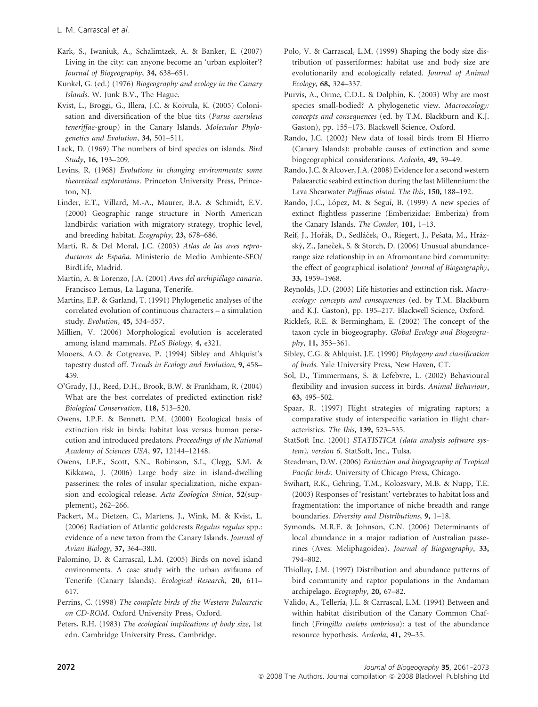- Kark, S., Iwaniuk, A., Schalimtzek, A. & Banker, E. (2007) Living in the city: can anyone become an 'urban exploiter'? Journal of Biogeography, 34, 638–651.
- Kunkel, G. (ed.) (1976) Biogeography and ecology in the Canary Islands. W. Junk B.V., The Hague.
- Kvist, L., Broggi, G., Illera, J.C. & Koivula, K. (2005) Colonisation and diversification of the blue tits (Parus caeruleus teneriffae-group) in the Canary Islands. Molecular Phylogenetics and Evolution, 34, 501–511.
- Lack, D. (1969) The numbers of bird species on islands. Bird Study, 16, 193–209.
- Levins, R. (1968) Evolutions in changing environments: some theoretical explorations. Princeton University Press, Princeton, NJ.
- Linder, E.T., Villard, M.-A., Maurer, B.A. & Schmidt, E.V. (2000) Geographic range structure in North American landbirds: variation with migratory strategy, trophic level, and breeding habitat. Ecography, 23, 678–686.
- Martí, R. & Del Moral, J.C. (2003) Atlas de las aves reproductoras de España. Ministerio de Medio Ambiente-SEO/ BirdLife, Madrid.
- Martín, A. & Lorenzo, J.A. (2001) Aves del archipiélago canario. Francisco Lemus, La Laguna, Tenerife.
- Martins, E.P. & Garland, T. (1991) Phylogenetic analyses of the correlated evolution of continuous characters – a simulation study. Evolution, 45, 534–557.
- Millien, V. (2006) Morphological evolution is accelerated among island mammals. PLoS Biology, 4, e321.
- Mooers, A.O. & Cotgreave, P. (1994) Sibley and Ahlquist's tapestry dusted off. Trends in Ecology and Evolution, 9, 458– 459.
- O'Grady, J.J., Reed, D.H., Brook, B.W. & Frankham, R. (2004) What are the best correlates of predicted extinction risk? Biological Conservation, 118, 513–520.
- Owens, I.P.F. & Bennett, P.M. (2000) Ecological basis of extinction risk in birds: habitat loss versus human persecution and introduced predators. Proceedings of the National Academy of Sciences USA, 97, 12144–12148.
- Owens, I.P.F., Scott, S.N., Robinson, S.I., Clegg, S.M. & Kikkawa, J. (2006) Large body size in island-dwelling passerines: the roles of insular specialization, niche expansion and ecological release. Acta Zoologica Sinica, 52(supplement), 262–266.
- Packert, M., Dietzen, C., Martens, J., Wink, M. & Kvist, L. (2006) Radiation of Atlantic goldcrests Regulus regulus spp.: evidence of a new taxon from the Canary Islands. Journal of Avian Biology, 37, 364–380.
- Palomino, D. & Carrascal, L.M. (2005) Birds on novel island environments. A case study with the urban avifauna of Tenerife (Canary Islands). Ecological Research, 20, 611– 617.
- Perrins, C. (1998) The complete birds of the Western Palearctic on CD-ROM. Oxford University Press, Oxford.
- Peters, R.H. (1983) The ecological implications of body size, 1st edn. Cambridge University Press, Cambridge.
- Polo, V. & Carrascal, L.M. (1999) Shaping the body size distribution of passeriformes: habitat use and body size are evolutionarily and ecologically related. Journal of Animal Ecology, 68, 324–337.
- Purvis, A., Orme, C.D.L. & Dolphin, K. (2003) Why are most species small-bodied? A phylogenetic view. Macroecology: concepts and consequences (ed. by T.M. Blackburn and K.J. Gaston), pp. 155–173. Blackwell Science, Oxford.
- Rando, J.C. (2002) New data of fossil birds from El Hierro (Canary Islands): probable causes of extinction and some biogeographical considerations. Ardeola, 49, 39–49.
- Rando, J.C. & Alcover, J.A. (2008) Evidence for a second western Palaearctic seabird extinction during the last Millennium: the Lava Shearwater Puffinus olsoni. The Ibis, 150, 188–192.
- Rando, J.C., López, M. & Seguí, B. (1999) A new species of extinct flightless passerine (Emberizidae: Emberiza) from the Canary Islands. The Condor, 101, 1–13.
- Reif, J., Hořák, D., Sedláček, O., Riegert, J., Pešata, M., Hrázský, Z., Janeček, S. & Storch, D. (2006) Unusual abundancerange size relationship in an Afromontane bird community: the effect of geographical isolation? Journal of Biogeography, 33, 1959–1968.
- Reynolds, J.D. (2003) Life histories and extinction risk. Macroecology: concepts and consequences (ed. by T.M. Blackburn and K.J. Gaston), pp. 195–217. Blackwell Science, Oxford.
- Ricklefs, R.E. & Bermingham, E. (2002) The concept of the taxon cycle in biogeography. Global Ecology and Biogeography, 11, 353–361.
- Sibley, C.G. & Ahlquist, J.E. (1990) Phylogeny and classification of birds. Yale University Press, New Haven, CT.
- Sol, D., Timmermans, S. & Lefebvre, L. (2002) Behavioural flexibility and invasion success in birds. Animal Behaviour, 63, 495–502.
- Spaar, R. (1997) Flight strategies of migrating raptors; a comparative study of interspecific variation in flight characteristics. The Ibis, 139, 523–535.
- StatSoft Inc. (2001) STATISTICA (data analysis software system), version 6. StatSoft, Inc., Tulsa.
- Steadman, D.W. (2006) Extinction and biogeography of Tropical Pacific birds. University of Chicago Press, Chicago.
- Swihart, R.K., Gehring, T.M., Kolozsvary, M.B. & Nupp, T.E. (2003) Responses of 'resistant' vertebrates to habitat loss and fragmentation: the importance of niche breadth and range boundaries. Diversity and Distributions, 9, 1–18.
- Symonds, M.R.E. & Johnson, C.N. (2006) Determinants of local abundance in a major radiation of Australian passerines (Aves: Meliphagoidea). Journal of Biogeography, 33, 794–802.
- Thiollay, J.M. (1997) Distribution and abundance patterns of bird community and raptor populations in the Andaman archipelago. Ecography, 20, 67–82.
- Valido, A., Tellería, J.L. & Carrascal, L.M. (1994) Between and within habitat distribution of the Canary Common Chaffinch (Fringilla coelebs ombriosa): a test of the abundance resource hypothesis. Ardeola, 41, 29–35.